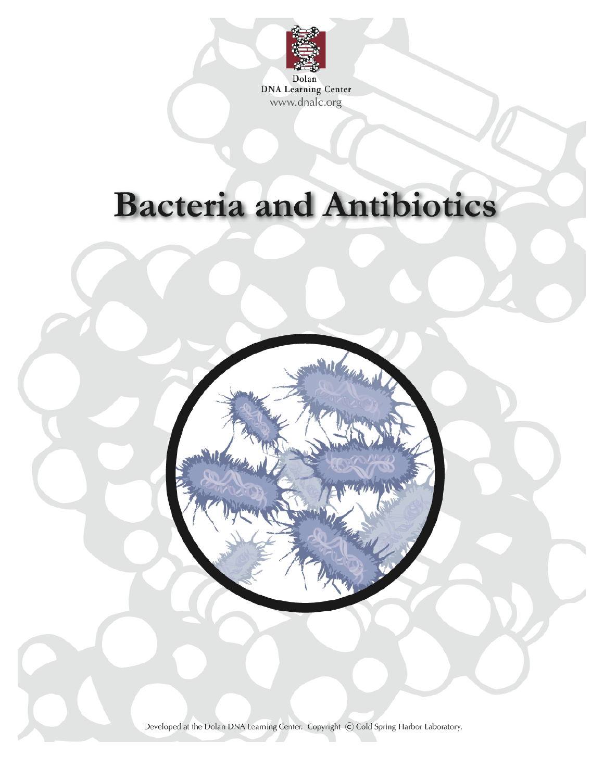

**DNA Learning Center** www.dnalc.org

# **Bacteria and Antibiotics**

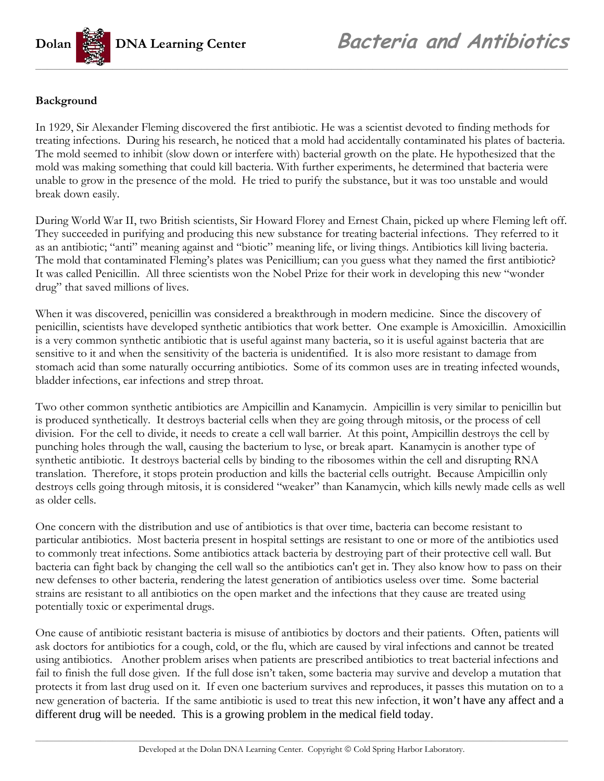

# **Background**

In 1929, Sir Alexander Fleming discovered the first antibiotic. He was a scientist devoted to finding methods for treating infections. During his research, he noticed that a mold had accidentally contaminated his plates of bacteria. The mold seemed to inhibit (slow down or interfere with) bacterial growth on the plate. He hypothesized that the mold was making something that could kill bacteria. With further experiments, he determined that bacteria were unable to grow in the presence of the mold. He tried to purify the substance, but it was too unstable and would break down easily.

During World War II, two British scientists, Sir Howard Florey and Ernest Chain, picked up where Fleming left off. They succeeded in purifying and producing this new substance for treating bacterial infections. They referred to it as an antibiotic; "anti" meaning against and "biotic" meaning life, or living things. Antibiotics kill living bacteria. The mold that contaminated Fleming's plates was Penicillium; can you guess what they named the first antibiotic? It was called Penicillin. All three scientists won the Nobel Prize for their work in developing this new "wonder drug" that saved millions of lives.

When it was discovered, penicillin was considered a breakthrough in modern medicine. Since the discovery of penicillin, scientists have developed synthetic antibiotics that work better. One example is Amoxicillin. Amoxicillin is a very common synthetic antibiotic that is useful against many bacteria, so it is useful against bacteria that are sensitive to it and when the sensitivity of the bacteria is unidentified. It is also more resistant to damage from stomach acid than some naturally occurring antibiotics. Some of its common uses are in treating infected wounds, bladder infections, ear infections and strep throat.

Two other common synthetic antibiotics are Ampicillin and Kanamycin. Ampicillin is very similar to penicillin but is produced synthetically. It destroys bacterial cells when they are going through mitosis, or the process of cell division. For the cell to divide, it needs to create a cell wall barrier. At this point, Ampicillin destroys the cell by punching holes through the wall, causing the bacterium to lyse, or break apart. Kanamycin is another type of synthetic antibiotic. It destroys bacterial cells by binding to the ribosomes within the cell and disrupting RNA translation. Therefore, it stops protein production and kills the bacterial cells outright. Because Ampicillin only destroys cells going through mitosis, it is considered "weaker" than Kanamycin, which kills newly made cells as well as older cells.

One concern with the distribution and use of antibiotics is that over time, bacteria can become resistant to particular antibiotics. Most bacteria present in hospital settings are resistant to one or more of the antibiotics used to commonly treat infections. Some antibiotics attack bacteria by destroying part of their protective cell wall. But bacteria can fight back by changing the cell wall so the antibiotics can't get in. They also know how to pass on their new defenses to other bacteria, rendering the latest generation of antibiotics useless over time. Some bacterial strains are resistant to all antibiotics on the open market and the infections that they cause are treated using potentially toxic or experimental drugs.

One cause of antibiotic resistant bacteria is misuse of antibiotics by doctors and their patients. Often, patients will ask doctors for antibiotics for a cough, cold, or the flu, which are caused by viral infections and cannot be treated using antibiotics. Another problem arises when patients are prescribed antibiotics to treat bacterial infections and fail to finish the full dose given. If the full dose isn't taken, some bacteria may survive and develop a mutation that protects it from last drug used on it. If even one bacterium survives and reproduces, it passes this mutation on to a new generation of bacteria. If the same antibiotic is used to treat this new infection, it won't have any affect and a different drug will be needed. This is a growing problem in the medical field today.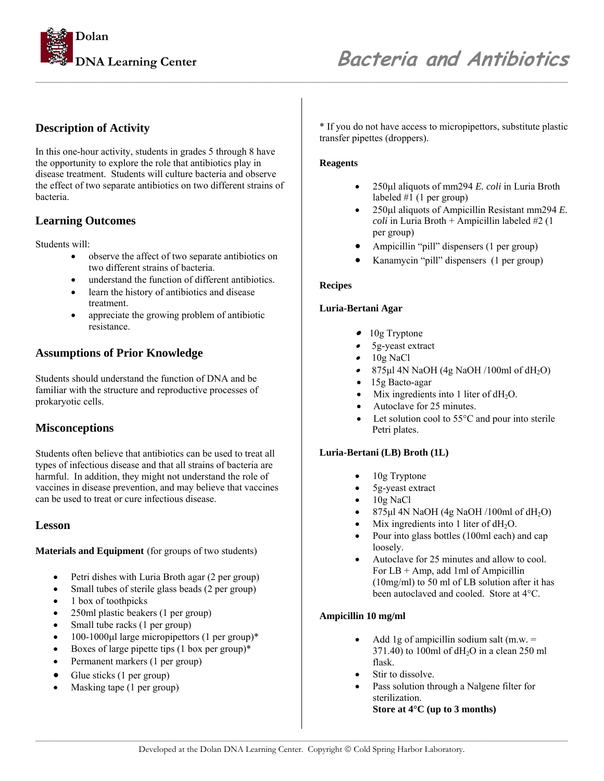

# **Description of Activity**

In this one-hour activity, students in grades 5 through 8 have the opportunity to explore the role that antibiotics play in disease treatment. Students will culture bacteria and observe the effect of two separate antibiotics on two different strains of bacteria.

# **Learning Outcomes**

Students will:

- observe the affect of two separate antibiotics on two different strains of bacteria.
- understand the function of different antibiotics.
- learn the history of antibiotics and disease treatment.
- appreciate the growing problem of antibiotic resistance.

# **Assumptions of Prior Knowledge**

Students should understand the function of DNA and be familiar with the structure and reproductive processes of prokaryotic cells.

# **Misconceptions**

Students often believe that antibiotics can be used to treat all types of infectious disease and that all strains of bacteria are harmful. In addition, they might not understand the role of vaccines in disease prevention, and may believe that vaccines can be used to treat or cure infectious disease.

# **Lesson**

**Materials and Equipment** (for groups of two students)

- Petri dishes with Luria Broth agar (2 per group)
- Small tubes of sterile glass beads (2 per group)
- 1 box of toothpicks
- 250ml plastic beakers (1 per group)
- Small tube racks (1 per group)
- 100-1000μl large micropipettors (1 per group)\*
- Boxes of large pipette tips  $(1 \text{ box per group})^*$
- Permanent markers (1 per group)
- Glue sticks (1 per group)
- Masking tape (1 per group)

\* If you do not have access to micropipettors, substitute plastic transfer pipettes (droppers).

#### **Reagents**

*\_\_\_\_\_\_\_\_\_\_\_\_\_\_\_\_\_\_\_\_\_\_\_\_\_\_\_\_\_\_\_\_\_\_\_\_\_\_\_\_\_\_\_\_\_\_\_\_\_\_\_\_\_\_\_\_\_\_\_\_\_\_\_\_\_\_\_\_\_\_\_\_\_\_\_\_\_\_\_\_\_\_\_\_\_\_\_\_\_\_* 

- 250μl aliquots of mm294 *E. coli* in Luria Broth labeled #1 (1 per group)
- 250μl aliquots of Ampicillin Resistant mm294 *E. coli* in Luria Broth + Ampicillin labeled #2 (1 per group)
- Ampicillin "pill" dispensers (1 per group)
- Kanamycin "pill" dispensers (1 per group)

## **Recipes**

#### **Luria-Bertani Agar**

- •10g Tryptone
- •5g-yeast extract
- •10g NaCl
- •875μl 4N NaOH (4g NaOH /100ml of dH2O)
- 15g Bacto-agar
- Mix ingredients into 1 liter of  $dH_2O$ .
- Autoclave for 25 minutes.
- Let solution cool to  $55^{\circ}$ C and pour into sterile Petri plates.

## **Luria-Bertani (LB) Broth (1L)**

- 10g Tryptone
- 5g-yeast extract
- 10g NaCl
- 875μl 4N NaOH (4g NaOH /100ml of dH2O)
- Mix ingredients into 1 liter of  $dH_2O$ .
- Pour into glass bottles (100ml each) and cap loosely.
- Autoclave for 25 minutes and allow to cool. For  $LB + Amp$ , add 1ml of Ampicillin (10mg/ml) to 50 ml of LB solution after it has been autoclaved and cooled. Store at 4°C.

## **Ampicillin 10 mg/ml**

- Add 1g of ampicillin sodium salt  $(m.w. =$  $371.40$ ) to  $100$ ml of dH<sub>2</sub>O in a clean 250 ml flask.
- Stir to dissolve.
- Pass solution through a Nalgene filter for sterilization. **Store at 4°C (up to 3 months)**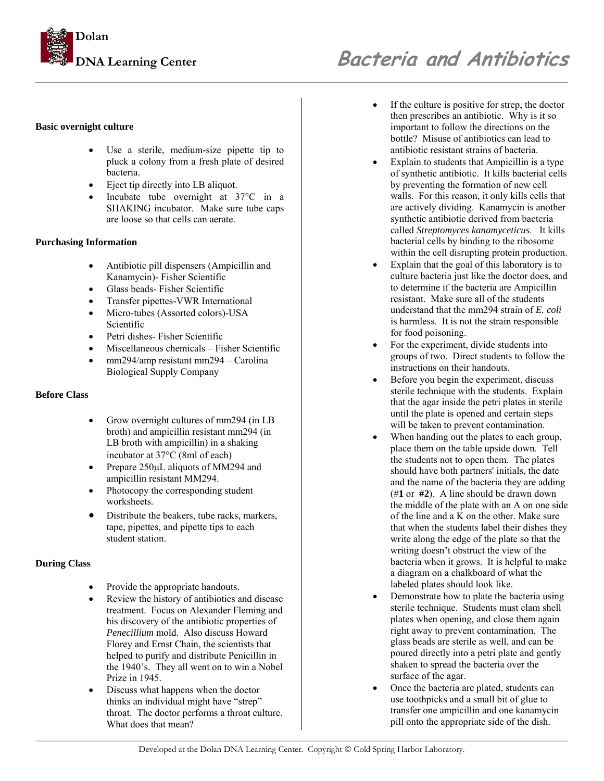

#### **Basic overnight culture**

• Use a sterile, medium-size pipette tip to pluck a colony from a fresh plate of desired bacteria.

*\_\_\_\_\_\_\_\_\_\_\_\_\_\_\_\_\_\_\_\_\_\_\_\_\_\_\_\_\_\_\_\_\_\_\_\_\_\_\_\_\_\_\_\_\_\_\_\_\_\_\_\_\_\_\_\_\_\_\_\_\_\_\_\_\_\_\_\_\_\_\_\_\_\_\_\_\_\_\_\_\_\_\_\_\_\_\_\_\_\_* 

- Eject tip directly into LB aliquot.
- Incubate tube overnight at 37°C in a SHAKING incubator. Make sure tube caps are loose so that cells can aerate.

#### **Purchasing Information**

- Antibiotic pill dispensers (Ampicillin and Kanamycin)- Fisher Scientific
- Glass beads- Fisher Scientific
- Transfer pipettes-VWR International
- Micro-tubes (Assorted colors)-USA Scientific
- Petri dishes-Fisher Scientific
- Miscellaneous chemicals Fisher Scientific
- mm294/amp resistant mm294 Carolina Biological Supply Company

#### **Before Class**

- Grow overnight cultures of mm294 (in LB broth) and ampicillin resistant mm294 (in LB broth with ampicillin) in a shaking incubator at 37°C (8ml of each)
- Prepare 250μL aliquots of MM294 and ampicillin resistant MM294.
- Photocopy the corresponding student worksheets.
- Distribute the beakers, tube racks, markers, tape, pipettes, and pipette tips to each student station.

## **During Class**

- Provide the appropriate handouts.
- Review the history of antibiotics and disease treatment. Focus on Alexander Fleming and his discovery of the antibiotic properties of *Penecillium* mold. Also discuss Howard Florey and Ernst Chain, the scientists that helped to purify and distribute Penicillin in the 1940's. They all went on to win a Nobel Prize in 1945.
- Discuss what happens when the doctor thinks an individual might have "strep" throat. The doctor performs a throat culture. What does that mean?
- If the culture is positive for strep, the doctor then prescribes an antibiotic. Why is it so important to follow the directions on the bottle? Misuse of antibiotics can lead to antibiotic resistant strains of bacteria.
- Explain to students that Ampicillin is a type of synthetic antibiotic. It kills bacterial cells by preventing the formation of new cell walls. For this reason, it only kills cells that are actively dividing. Kanamycin is another synthetic antibiotic derived from bacteria called *Streptomyces kanamyceticus*. It kills bacterial cells by binding to the ribosome within the cell disrupting protein production.
- Explain that the goal of this laboratory is to culture bacteria just like the doctor does, and to determine if the bacteria are Ampicillin resistant. Make sure all of the students understand that the mm294 strain of *E. coli* is harmless. It is not the strain responsible for food poisoning.
- For the experiment, divide students into groups of two. Direct students to follow the instructions on their handouts.
- Before you begin the experiment, discuss sterile technique with the students. Explain that the agar inside the petri plates in sterile until the plate is opened and certain steps will be taken to prevent contamination.
- When handing out the plates to each group, place them on the table upside down. Tell the students not to open them. The plates should have both partners' initials, the date and the name of the bacteria they are adding (#**1** or **#2**). A line should be drawn down the middle of the plate with an A on one side of the line and a K on the other. Make sure that when the students label their dishes they write along the edge of the plate so that the writing doesn't obstruct the view of the bacteria when it grows. It is helpful to make a diagram on a chalkboard of what the labeled plates should look like.
- Demonstrate how to plate the bacteria using sterile technique. Students must clam shell plates when opening, and close them again right away to prevent contamination. The glass beads are sterile as well, and can be poured directly into a petri plate and gently shaken to spread the bacteria over the surface of the agar.
- Once the bacteria are plated, students can use toothpicks and a small bit of glue to transfer one ampicillin and one kanamycin pill onto the appropriate side of the dish.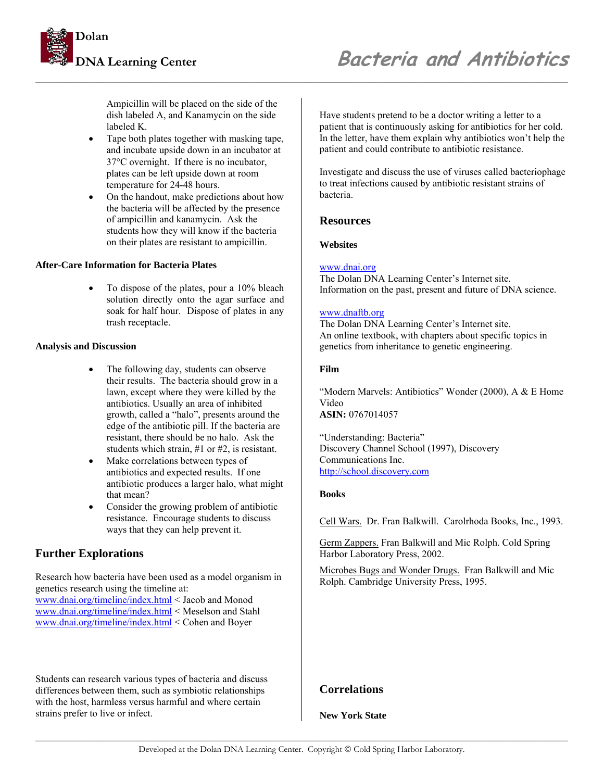

Ampicillin will be placed on the side of the dish labeled A, and Kanamycin on the side labeled K.

- Tape both plates together with masking tape, and incubate upside down in an incubator at 37°C overnight. If there is no incubator, plates can be left upside down at room temperature for 24-48 hours.
- On the handout, make predictions about how the bacteria will be affected by the presence of ampicillin and kanamycin. Ask the students how they will know if the bacteria on their plates are resistant to ampicillin.

#### **After-Care Information for Bacteria Plates**

• To dispose of the plates, pour a 10% bleach solution directly onto the agar surface and soak for half hour. Dispose of plates in any trash receptacle.

#### **Analysis and Discussion**

- The following day, students can observe their results. The bacteria should grow in a lawn, except where they were killed by the antibiotics. Usually an area of inhibited growth, called a "halo", presents around the edge of the antibiotic pill. If the bacteria are resistant, there should be no halo. Ask the students which strain, #1 or #2, is resistant.
- Make correlations between types of antibiotics and expected results. If one antibiotic produces a larger halo, what might that mean?
- Consider the growing problem of antibiotic resistance. Encourage students to discuss ways that they can help prevent it.

# **Further Explorations**

Research how bacteria have been used as a model organism in genetics research using the timeline at:

[www.dnai.org/timeline/index.html](http://www.dnai.org/timeline/index.html) < Jacob and Monod [www.dnai.org/timeline/index.html](http://www.dnai.org/timeline/index.html) < Meselson and Stahl [www.dnai.org/timeline/index.html](http://www.dnai.org/timeline/index.html) < Cohen and Boyer

Students can research various types of bacteria and discuss differences between them, such as symbiotic relationships with the host, harmless versus harmful and where certain strains prefer to live or infect.

Have students pretend to be a doctor writing a letter to a patient that is continuously asking for antibiotics for her cold. In the letter, have them explain why antibiotics won't help the patient and could contribute to antibiotic resistance.

Investigate and discuss the use of viruses called bacteriophage to treat infections caused by antibiotic resistant strains of bacteria.

#### **Resources**

#### **Websites**

*\_\_\_\_\_\_\_\_\_\_\_\_\_\_\_\_\_\_\_\_\_\_\_\_\_\_\_\_\_\_\_\_\_\_\_\_\_\_\_\_\_\_\_\_\_\_\_\_\_\_\_\_\_\_\_\_\_\_\_\_\_\_\_\_\_\_\_\_\_\_\_\_\_\_\_\_\_\_\_\_\_\_\_\_\_\_\_\_\_\_* 

#### www.dnai.org

The Dolan DNA Learning Center's Internet site. Information on the past, present and future of DNA science.

#### [www.dnaftb.org](http://www.dnaftb.org/)

The Dolan DNA Learning Center's Internet site. An online textbook, with chapters about specific topics in genetics from inheritance to genetic engineering.

#### **Film**

"Modern Marvels: Antibiotics" Wonder (2000), A & E Home Video **ASIN:** 0767014057

"Understanding: Bacteria" Discovery Channel School (1997), Discovery Communications Inc. [http://school.discovery.com](http://school.discovery.com/)

#### **Books**

Cell Wars. Dr. Fran Balkwill. Carolrhoda Books, Inc., 1993.

Germ Zappers. Fran Balkwill and Mic Rolph. Cold Spring Harbor Laboratory Press, 2002.

Microbes Bugs and Wonder Drugs. Fran Balkwill and Mic Rolph. Cambridge University Press, 1995.

## **Correlations**

**New York State**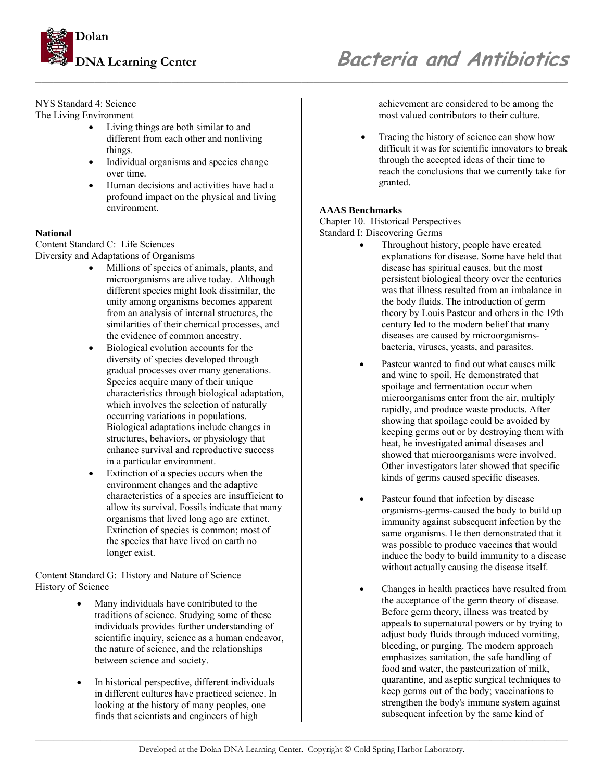

# NYS Standard 4: Science

The Living Environment

- Living things are both similar to and different from each other and nonliving things.
- Individual organisms and species change over time.
- Human decisions and activities have had a profound impact on the physical and living environment.

## **National**

Content Standard C: Life Sciences Diversity and Adaptations of Organisms

- Millions of species of animals, plants, and microorganisms are alive today. Although different species might look dissimilar, the unity among organisms becomes apparent from an analysis of internal structures, the similarities of their chemical processes, and the evidence of common ancestry.
- Biological evolution accounts for the diversity of species developed through gradual processes over many generations. Species acquire many of their unique characteristics through biological adaptation, which involves the selection of naturally occurring variations in populations. Biological adaptations include changes in structures, behaviors, or physiology that enhance survival and reproductive success in a particular environment.
- Extinction of a species occurs when the environment changes and the adaptive characteristics of a species are insufficient to allow its survival. Fossils indicate that many organisms that lived long ago are extinct. Extinction of species is common; most of the species that have lived on earth no longer exist.

Content Standard G: History and Nature of Science History of Science

- Many individuals have contributed to the traditions of science. Studying some of these individuals provides further understanding of scientific inquiry, science as a human endeavor, the nature of science, and the relationships between science and society.
- In historical perspective, different individuals in different cultures have practiced science. In looking at the history of many peoples, one finds that scientists and engineers of high

achievement are considered to be among the most valued contributors to their culture.

Tracing the history of science can show how difficult it was for scientific innovators to break through the accepted ideas of their time to reach the conclusions that we currently take for granted.

## **AAAS Benchmarks**

*\_\_\_\_\_\_\_\_\_\_\_\_\_\_\_\_\_\_\_\_\_\_\_\_\_\_\_\_\_\_\_\_\_\_\_\_\_\_\_\_\_\_\_\_\_\_\_\_\_\_\_\_\_\_\_\_\_\_\_\_\_\_\_\_\_\_\_\_\_\_\_\_\_\_\_\_\_\_\_\_\_\_\_\_\_\_\_\_\_\_* 

Chapter 10. Historical Perspectives Standard I: Discovering Germs

- Throughout history, people have created explanations for disease. Some have held that disease has spiritual causes, but the most persistent biological theory over the centuries was that illness resulted from an imbalance in the body fluids. The introduction of germ theory by Louis Pasteur and others in the 19th century led to the modern belief that many diseases are caused by microorganismsbacteria, viruses, yeasts, and parasites.
- Pasteur wanted to find out what causes milk and wine to spoil. He demonstrated that spoilage and fermentation occur when microorganisms enter from the air, multiply rapidly, and produce waste products. After showing that spoilage could be avoided by keeping germs out or by destroying them with heat, he investigated animal diseases and showed that microorganisms were involved. Other investigators later showed that specific kinds of germs caused specific diseases.
- Pasteur found that infection by disease organisms-germs-caused the body to build up immunity against subsequent infection by the same organisms. He then demonstrated that it was possible to produce vaccines that would induce the body to build immunity to a disease without actually causing the disease itself.
- Changes in health practices have resulted from the acceptance of the germ theory of disease. Before germ theory, illness was treated by appeals to supernatural powers or by trying to adjust body fluids through induced vomiting, bleeding, or purging. The modern approach emphasizes sanitation, the safe handling of food and water, the pasteurization of milk, quarantine, and aseptic surgical techniques to keep germs out of the body; vaccinations to strengthen the body's immune system against subsequent infection by the same kind of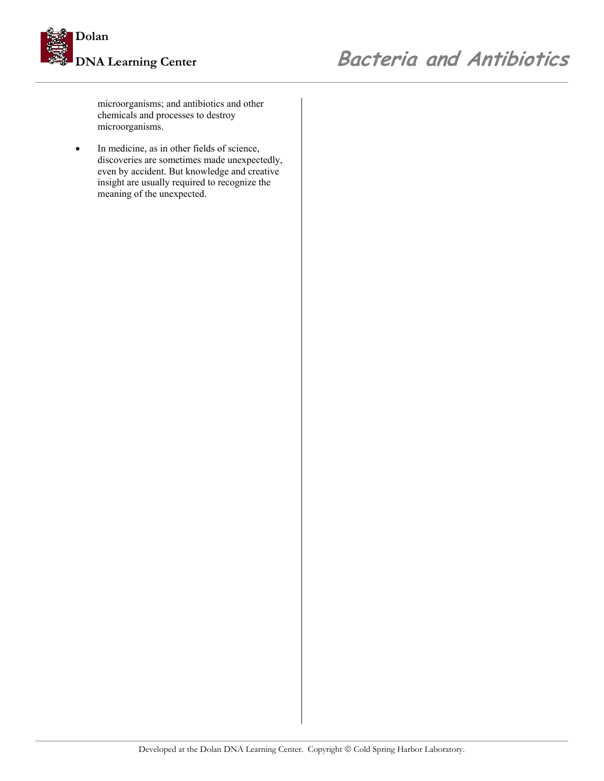

microorganisms; and antibiotics and other chemicals and processes to destroy microorganisms.

*\_\_\_\_\_\_\_\_\_\_\_\_\_\_\_\_\_\_\_\_\_\_\_\_\_\_\_\_\_\_\_\_\_\_\_\_\_\_\_\_\_\_\_\_\_\_\_\_\_\_\_\_\_\_\_\_\_\_\_\_\_\_\_\_\_\_\_\_\_\_\_\_\_\_\_\_\_\_\_\_\_\_\_\_\_\_\_\_\_\_* 

• In medicine, as in other fields of science, discoveries are sometimes made unexpectedly, even by accident. But knowledge and creative insight are usually required to recognize the meaning of the unexpected.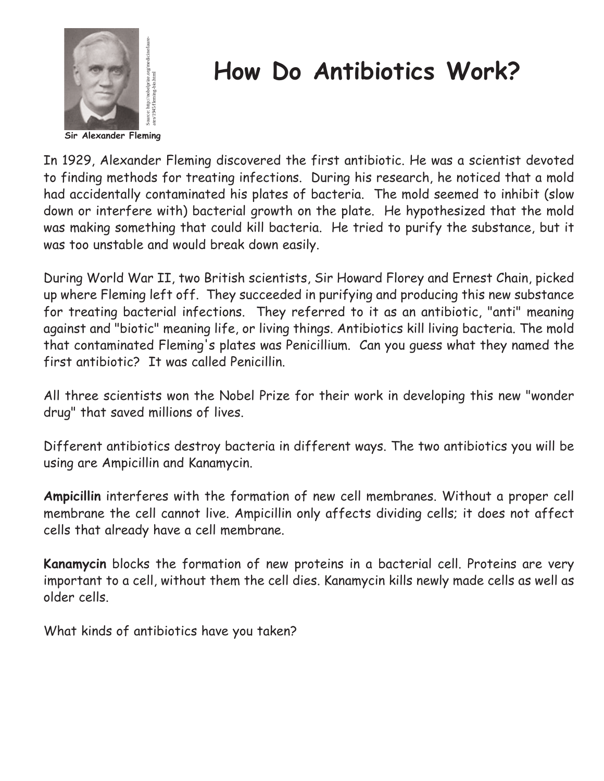

# **How Do Antibiotics Work?**

In 1929, Alexander Fleming discovered the first antibiotic. He was a scientist devoted to finding methods for treating infections. During his research, he noticed that a mold had accidentally contaminated his plates of bacteria. The mold seemed to inhibit (slow down or interfere with) bacterial growth on the plate. He hypothesized that the mold was making something that could kill bacteria. He tried to purify the substance, but it was too unstable and would break down easily. **How Dc**<br>
Sir Alexander Fleming<br>
In 1929, Alexander Fleming discovered the<br>
to finding methods for treating infections<br>
had accidentally contaminated his plates down and<br>
was making something that could kill bact<br>
was too

During World War II, two British scientists, Sir Howard Florey and Ernest Chain, picked up where Fleming left off. They succeeded in purifying and producing this new substance for treating bacterial infections. They referred to it as an antibiotic, "anti" meaning against and "biotic" meaning life, or living things. Antibiotics kill living bacteria. The mold that contaminated Fleming's plates was Penicillium. Can you guess what they named the first antibiotic? It was called Penicillin.

All three scientists won the Nobel Prize for their work in developing this new "wonder drug" that saved millions of lives.

Different antibiotics destroy bacteria in different ways. The two antibiotics you will be using are Ampicillin and Kanamycin.

**Ampicillin** interferes with the formation of new cell membranes. Without a proper cell membrane the cell cannot live. Ampicillin only affects dividing cells; it does not affect cells that already have a cell membrane.

**Kanamycin** blocks the formation of new proteins in a bacterial cell. Proteins are very important to a cell, without them the cell dies. Kanamycin kills newly made cells as well as older cells.